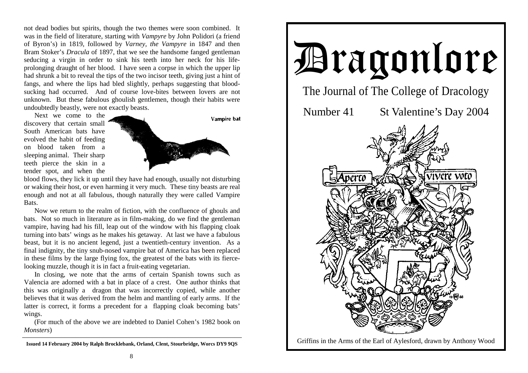not dead bodies but spirits, though the two themes were soon combined. It was in the field of literature, starting with *Vampyre* by John Polidori (a friend of Byron's) in 1819, followed by *Varney, the Vampyre* in 1847 and then Bram Stoker's *Dracula* of 1897, that we see the handsome fanged gentleman seducing a virgin in order to sink his teeth into her neck for his lifeprolonging draught of her blood. I have seen a corpse in which the upper lip had shrunk a bit to reveal the tips of the two incisor teeth, giving just a hint of fangs, and where the lips had bled slightly, perhaps suggesting that bloodsucking had occurred. And of course love-bites between lovers are not unknown. But these fabulous ghoulish gentlemen, though their habits were undoubtedly beastly, were not exactly beasts.

 Next we come to the discovery that certain small South American bats have evolved the habit of feeding on blood taken from a sleeping animal. Their sharp teeth pierce the skin in a tender spot, and when the



blood flows, they lick it up until they have had enough, usually not disturbing or waking their host, or even harming it very much. These tiny beasts are real enough and not at all fabulous, though naturally they were called Vampire Bats.

 Now we return to the realm of fiction, with the confluence of ghouls and bats. Not so much in literature as in film-making, do we find the gentleman vampire, having had his fill, leap out of the window with his flapping cloak turning into bats' wings as he makes his getaway. At last we have a fabulous beast, but it is no ancient legend, just a twentieth-century invention. As a final indignity, the tiny snub-nosed vampire bat of America has been replaced in these films by the large flying fox, the greatest of the bats with its fiercelooking muzzle, though it is in fact a fruit-eating vegetarian.

 In closing, we note that the arms of certain Spanish towns such as Valencia are adorned with a bat in place of a crest. One author thinks that this was originally a dragon that was incorrectly copied, while another believes that it was derived from the helm and mantling of early arms. If the latter is correct, it forms a precedent for a flapping cloak becoming bats' wings.

 (For much of the above we are indebted to Daniel Cohen's 1982 book on *Monsters*)



**Issued 14 February 2004 by Ralph Brocklebank, Orland, Clent, Stourbridge, Worcs DY9 9QS**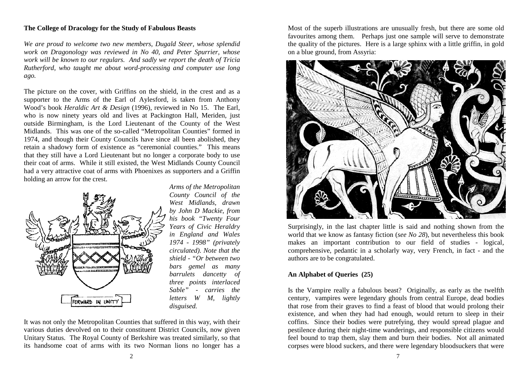## **The College of Dracology for the Study of Fabulous Beasts**

*We are proud to welcome two new members, Dugald Steer, whose splendid work on Dragonology was reviewed in No 40, and Peter Spurrier, whose work will be known to our regulars. And sadly we report the death of Tricia Rutherford, who taught me about word-processing and computer use long ago.* 

The picture on the cover, with Griffins on the shield, in the crest and as a supporter to the Arms of the Earl of Aylesford, is taken from Anthony Wood's book *Heraldic Art & Design* (1996), reviewed in No 15. The Earl, who is now ninety years old and lives at Packington Hall, Meriden, just outside Birmingham, is the Lord Lieutenant of the County of the West Midlands. This was one of the so-called "Metropolitan Counties" formed in 1974, and though their County Councils have since all been abolished, they retain a shadowy form of existence as "ceremonial counties." This means that they still have a Lord Lieutenant but no longer a corporate body to use their coat of arms. While it still existed, the West Midlands County Council had a very attractive coat of arms with Phoenixes as supporters and a Griffin holding an arrow for the crest.



*Arms of the Metropolitan County Council of the West Midlands, drawn by John D Mackie, from his book "Twenty Four Years of Civic Heraldry in England and Wales 1974 - 1998" (privately circulated). Note that the shield - "Or between two bars gemel as many barrulets dancetty of three points interlaced Sable" - carries the letters W M, lightly disguised.* 

It was not only the Metropolitan Counties that suffered in this way, with their various duties devolved on to their constituent District Councils, now given Unitary Status. The Royal County of Berkshire was treated similarly, so that its handsome coat of arms with its two Norman lions no longer has a Most of the superb illustrations are unusually fresh, but there are some old favourites among them. Perhaps just one sample will serve to demonstrate the quality of the pictures. Here is a large sphinx with a little griffin, in gold on a blue ground, from Assyria:



Surprisingly, in the last chapter little is said and nothing shown from the world that we know as fantasy fiction (*see No 28*), but nevertheless this book makes an important contribution to our field of studies - logical, comprehensive, pedantic in a scholarly way, very French, in fact - and the authors are to be congratulated.

### **An Alphabet of Queries (25)**

Is the Vampire really a fabulous beast? Originally, as early as the twelfth century, vampires were legendary ghouls from central Europe, dead bodies that rose from their graves to find a feast of blood that would prolong their existence, and when they had had enough, would return to sleep in their coffins. Since their bodies were putrefying, they would spread plague and pestilence during their night-time wanderings, and responsible citizens would feel bound to trap them, slay them and burn their bodies. Not all animated corpses were blood suckers, and there were legendary bloodsuckers that were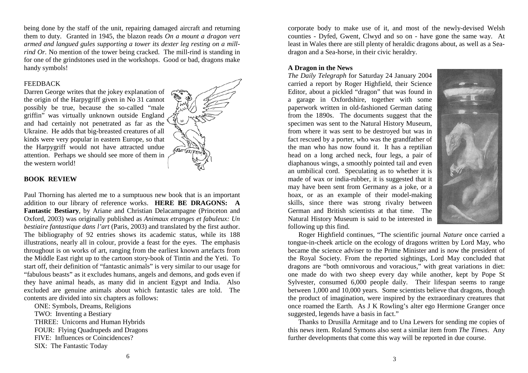being done by the staff of the unit, repairing damaged aircraft and returning them to duty. Granted in 1945, the blazon reads *On a mount a dragon vert armed and langued gules supporting a tower its dexter leg resting on a millrind Or.* No mention of the tower being cracked. The mill-rind is standing in for one of the grindstones used in the workshops. Good or bad, dragons make handy symbols!

### FEEDBACK

Darren George writes that the jokey explanation of the origin of the Harpygriff given in No 31 cannot possibly be true, because the so-called "male griffin" was virtually unknown outside England and had certainly not penetrated as far as the Ukraine. He adds that big-breasted creatures of all kinds were very popular in eastern Europe, so that the Harpygriff would not have attracted undue attention. Perhaps we should see more of them in the western world!



#### **BOOK REVIEW**

Paul Thorning has alerted me to a sumptuous new book that is an important addition to our library of reference works. **HERE BE DRAGONS: A Fantastic Bestiary**, by Ariane and Christian Delacampagne (Princeton and Oxford, 2003) was originally published as *Animaux etranges et fabuleux: Un bestiaire fantastique dans l'art* (Paris, 2003) and translated by the first author. The bibliography of 92 entries shows its academic status, while its 188 illustrations, nearly all in colour, provide a feast for the eyes. The emphasis throughout is on works of art, ranging from the earliest known artefacts from the Middle East right up to the cartoon story-book of Tintin and the Yeti. To start off, their definition of "fantastic animals" is very similar to our usage for "fabulous beasts" as it excludes humans, angels and demons, and gods even if they have animal heads, as many did in ancient Egypt and India. Also excluded are genuine animals about which fantastic tales are told. The contents are divided into six chapters as follows:

 ONE: Symbols, Dreams, Religions TWO: Inventing a Bestiary THREE: Unicorns and Human Hybrids FOUR: Flying Quadrupeds and Dragons FIVE: Influences or Coincidences? SIX: The Fantastic Today

corporate body to make use of it, and most of the newly-devised Welsh counties - Dyfed, Gwent, Clwyd and so on - have gone the same way. At least in Wales there are still plenty of heraldic dragons about, as well as a Seadragon and a Sea-horse, in their civic heraldry.

## **A Dragon in the News**

*The Daily Telegraph* for Saturday 24 January 2004 carried a report by Roger Highfield, their Science Editor, about a pickled "dragon" that was found in a garage in Oxfordshire, together with some paperwork written in old-fashioned German dating from the 1890s. The documents suggest that the specimen was sent to the Natural History Museum, from where it was sent to be destroyed but was in fact rescued by a porter, who was the grandfather of the man who has now found it. It has a reptilian head on a long arched neck, four legs, a pair of diaphanous wings, a smoothly pointed tail and even an umbilical cord. Speculating as to whether it is made of wax or india-rubber, it is suggested that it may have been sent from Germany as a joke, or a hoax, or as an example of their model-making skills, since there was strong rivalry between German and British scientists at that time. The Natural History Museum is said to be interested in following up this find.



 Roger Highfield continues, "The scientific journal *Nature* once carried a tongue-in-cheek article on the ecology of dragons written by Lord May, who became the science adviser to the Prime Minister and is now the president of the Royal Society. From the reported sightings, Lord May concluded that dragons are "both omnivorous and voracious," with great variations in diet: one made do with two sheep every day while another, kept by Pope St Sylvester, consumed 6,000 people daily. Their lifespan seems to range between 1,000 and 10,000 years. Some scientists believe that dragons, though the product of imagination, were inspired by the extraordinary creatures that once roamed the Earth. As J K Rowling's alter ego Hermione Granger once suggested, legends have a basis in fact."

 Thanks to Drusilla Armitage and to Una Lewers for sending me copies of this news item. Roland Symons also sent a similar item from *The Times*. Any further developments that come this way will be reported in due course.